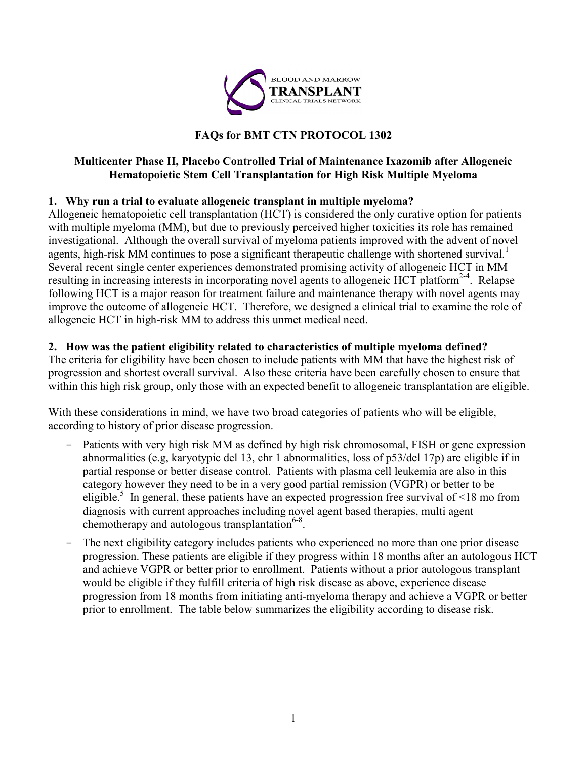

### **FAQs for BMT CTN PROTOCOL 1302**

#### **Multicenter Phase II, Placebo Controlled Trial of Maintenance Ixazomib after Allogeneic Hematopoietic Stem Cell Transplantation for High Risk Multiple Myeloma**

### **1. Why run a trial to evaluate allogeneic transplant in multiple myeloma?**

Allogeneic hematopoietic cell transplantation (HCT) is considered the only curative option for patients with multiple myeloma (MM), but due to previously perceived higher toxicities its role has remained investigational. Although the overall survival of myeloma patients improved with the advent of novel agents, high-risk MM continues to pose a significant therapeutic challenge with shortened survival.<sup>1</sup> Several recent single center experiences demonstrated promising activity of allogeneic HCT in MM resulting in increasing interests in incorporating novel agents to allogeneic HCT platform<sup>2-4</sup>. Relapse following HCT is a major reason for treatment failure and maintenance therapy with novel agents may improve the outcome of allogeneic HCT. Therefore, we designed a clinical trial to examine the role of allogeneic HCT in high-risk MM to address this unmet medical need.

### **2. How was the patient eligibility related to characteristics of multiple myeloma defined?**

The criteria for eligibility have been chosen to include patients with MM that have the highest risk of progression and shortest overall survival. Also these criteria have been carefully chosen to ensure that within this high risk group, only those with an expected benefit to allogeneic transplantation are eligible.

With these considerations in mind, we have two broad categories of patients who will be eligible, according to history of prior disease progression.

- Patients with very high risk MM as defined by high risk chromosomal, FISH or gene expression abnormalities (e.g, karyotypic del 13, chr 1 abnormalities, loss of p53/del 17p) are eligible if in partial response or better disease control. Patients with plasma cell leukemia are also in this category however they need to be in a very good partial remission (VGPR) or better to be eligible.<sup>5</sup> In general, these patients have an expected progression free survival of  $\leq 18$  mo from diagnosis with current approaches including novel agent based therapies, multi agent chemotherapy and autologous transplantation $6-8$ .
- The next eligibility category includes patients who experienced no more than one prior disease progression. These patients are eligible if they progress within 18 months after an autologous HCT and achieve VGPR or better prior to enrollment. Patients without a prior autologous transplant would be eligible if they fulfill criteria of high risk disease as above, experience disease progression from 18 months from initiating anti-myeloma therapy and achieve a VGPR or better prior to enrollment. The table below summarizes the eligibility according to disease risk.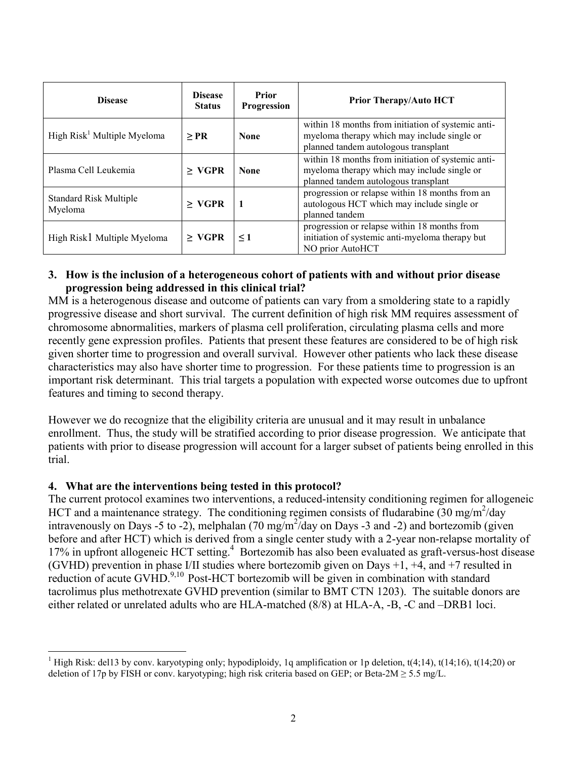| <b>Disease</b>                           | <b>Disease</b><br><b>Status</b> | Prior<br>Progression | <b>Prior Therapy/Auto HCT</b>                                                                                                             |
|------------------------------------------|---------------------------------|----------------------|-------------------------------------------------------------------------------------------------------------------------------------------|
| High $Risk1$ Multiple Myeloma            | $>$ PR                          | <b>None</b>          | within 18 months from initiation of systemic anti-<br>myeloma therapy which may include single or<br>planned tandem autologous transplant |
| Plasma Cell Leukemia                     | $>$ VGPR                        | <b>None</b>          | within 18 months from initiation of systemic anti-<br>myeloma therapy which may include single or<br>planned tandem autologous transplant |
| <b>Standard Risk Multiple</b><br>Myeloma | $>$ VGPR                        | 1                    | progression or relapse within 18 months from an<br>autologous HCT which may include single or<br>planned tandem                           |
| High Risk1 Multiple Myeloma              | $>$ VGPR                        | $\leq 1$             | progression or relapse within 18 months from<br>initiation of systemic anti-myeloma therapy but<br>NO prior AutoHCT                       |

#### **3. How is the inclusion of a heterogeneous cohort of patients with and without prior disease progression being addressed in this clinical trial?**

MM is a heterogenous disease and outcome of patients can vary from a smoldering state to a rapidly progressive disease and short survival. The current definition of high risk MM requires assessment of chromosome abnormalities, markers of plasma cell proliferation, circulating plasma cells and more recently gene expression profiles. Patients that present these features are considered to be of high risk given shorter time to progression and overall survival. However other patients who lack these disease characteristics may also have shorter time to progression. For these patients time to progression is an important risk determinant. This trial targets a population with expected worse outcomes due to upfront features and timing to second therapy.

However we do recognize that the eligibility criteria are unusual and it may result in unbalance enrollment. Thus, the study will be stratified according to prior disease progression. We anticipate that patients with prior to disease progression will account for a larger subset of patients being enrolled in this trial.

#### **4. What are the interventions being tested in this protocol?**

The current protocol examines two interventions, a reduced-intensity conditioning regimen for allogeneic HCT and a maintenance strategy. The conditioning regimen consists of fludarabine (30 mg/m<sup>2</sup>/day intravenously on Days -5 to -2), melphalan (70 mg/m<sup>2</sup>/day on Days -3 and -2) and bortezomib (given before and after HCT) which is derived from a single center study with a 2-year non-relapse mortality of 17% in upfront allogeneic HCT setting.<sup>4</sup> Bortezomib has also been evaluated as graft-versus-host disease (GVHD) prevention in phase I/II studies where bortezomib given on Days +1, +4, and +7 resulted in reduction of acute GVHD. $9,10$  Post-HCT bortezomib will be given in combination with standard tacrolimus plus methotrexate GVHD prevention (similar to BMT CTN 1203). The suitable donors are either related or unrelated adults who are HLA-matched (8/8) at HLA-A, -B, -C and –DRB1 loci.

High Risk: del13 by conv. karyotyping only; hypodiploidy, 1q amplification or 1p deletion,  $t(4;14)$ ,  $t(14;16)$ ,  $t(14;20)$  or deletion of 17p by FISH or conv. karyotyping; high risk criteria based on GEP; or Beta-2M  $\geq$  5.5 mg/L.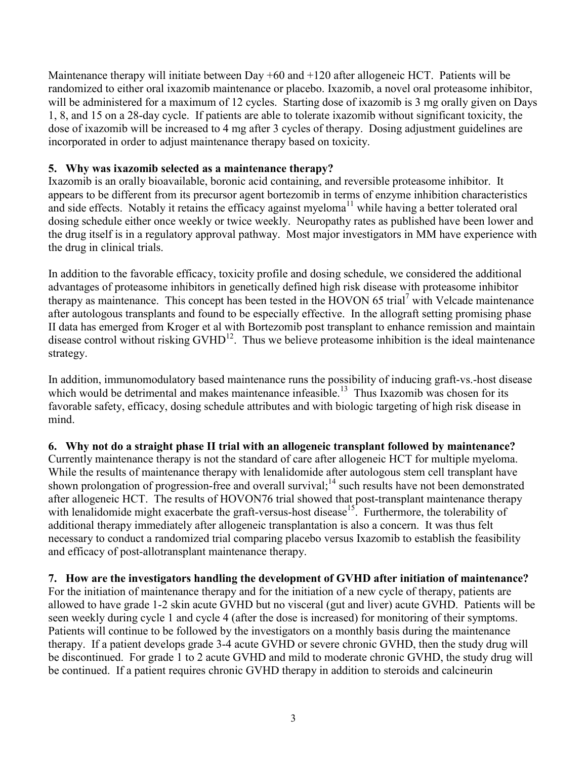Maintenance therapy will initiate between Day  $+60$  and  $+120$  after allogeneic HCT. Patients will be randomized to either oral ixazomib maintenance or placebo. Ixazomib, a novel oral proteasome inhibitor, will be administered for a maximum of 12 cycles. Starting dose of ixazomib is 3 mg orally given on Days 1, 8, and 15 on a 28-day cycle. If patients are able to tolerate ixazomib without significant toxicity, the dose of ixazomib will be increased to 4 mg after 3 cycles of therapy. Dosing adjustment guidelines are incorporated in order to adjust maintenance therapy based on toxicity.

#### **5. Why was ixazomib selected as a maintenance therapy?**

Ixazomib is an orally bioavailable, boronic acid containing, and reversible proteasome inhibitor. It appears to be different from its precursor agent bortezomib in terms of enzyme inhibition characteristics and side effects. Notably it retains the efficacy against myeloma<sup>11</sup> while having a better tolerated oral dosing schedule either once weekly or twice weekly. Neuropathy rates as published have been lower and the drug itself is in a regulatory approval pathway. Most major investigators in MM have experience with the drug in clinical trials.

In addition to the favorable efficacy, toxicity profile and dosing schedule, we considered the additional advantages of proteasome inhibitors in genetically defined high risk disease with proteasome inhibitor therapy as maintenance. This concept has been tested in the HOVON 65 trial<sup>7</sup> with Velcade maintenance after autologous transplants and found to be especially effective. In the allograft setting promising phase II data has emerged from Kroger et al with Bortezomib post transplant to enhance remission and maintain disease control without risking  $GVHD^{12}$ . Thus we believe proteasome inhibition is the ideal maintenance strategy.

In addition, immunomodulatory based maintenance runs the possibility of inducing graft-vs.-host disease which would be detrimental and makes maintenance infeasible.<sup>13</sup> Thus Ixazomib was chosen for its favorable safety, efficacy, dosing schedule attributes and with biologic targeting of high risk disease in mind.

**6. Why not do a straight phase II trial with an allogeneic transplant followed by maintenance?**  Currently maintenance therapy is not the standard of care after allogeneic HCT for multiple myeloma. While the results of maintenance therapy with lenalidomide after autologous stem cell transplant have shown prolongation of progression-free and overall survival;<sup>14</sup> such results have not been demonstrated after allogeneic HCT. The results of HOVON76 trial showed that post-transplant maintenance therapy with lenalidomide might exacerbate the graft-versus-host disease<sup>15</sup>. Furthermore, the tolerability of additional therapy immediately after allogeneic transplantation is also a concern. It was thus felt necessary to conduct a randomized trial comparing placebo versus Ixazomib to establish the feasibility and efficacy of post-allotransplant maintenance therapy.

**7. How are the investigators handling the development of GVHD after initiation of maintenance?** For the initiation of maintenance therapy and for the initiation of a new cycle of therapy, patients are allowed to have grade 1-2 skin acute GVHD but no visceral (gut and liver) acute GVHD. Patients will be seen weekly during cycle 1 and cycle 4 (after the dose is increased) for monitoring of their symptoms. Patients will continue to be followed by the investigators on a monthly basis during the maintenance therapy. If a patient develops grade 3-4 acute GVHD or severe chronic GVHD, then the study drug will be discontinued. For grade 1 to 2 acute GVHD and mild to moderate chronic GVHD, the study drug will be continued. If a patient requires chronic GVHD therapy in addition to steroids and calcineurin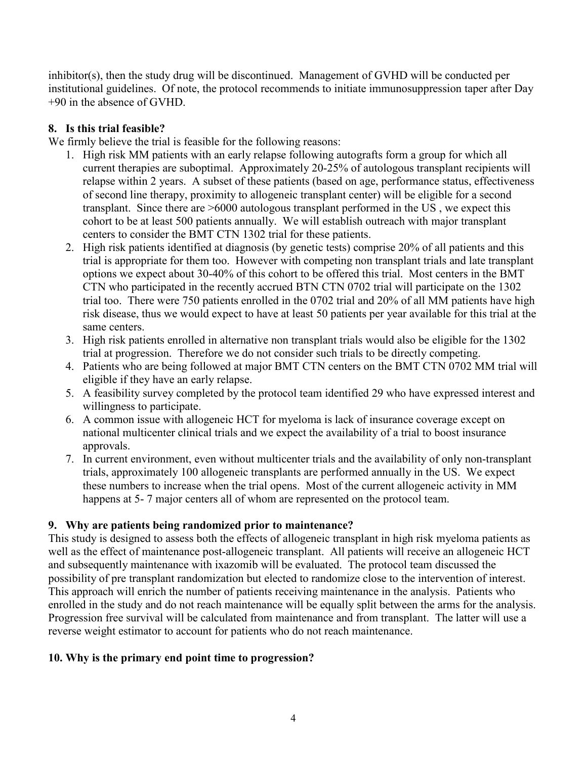inhibitor(s), then the study drug will be discontinued. Management of GVHD will be conducted per institutional guidelines. Of note, the protocol recommends to initiate immunosuppression taper after Day +90 in the absence of GVHD.

## **8. Is this trial feasible?**

We firmly believe the trial is feasible for the following reasons:

- 1. High risk MM patients with an early relapse following autografts form a group for which all current therapies are suboptimal. Approximately 20-25% of autologous transplant recipients will relapse within 2 years. A subset of these patients (based on age, performance status, effectiveness of second line therapy, proximity to allogeneic transplant center) will be eligible for a second transplant. Since there are >6000 autologous transplant performed in the US , we expect this cohort to be at least 500 patients annually. We will establish outreach with major transplant centers to consider the BMT CTN 1302 trial for these patients.
- 2. High risk patients identified at diagnosis (by genetic tests) comprise 20% of all patients and this trial is appropriate for them too. However with competing non transplant trials and late transplant options we expect about 30-40% of this cohort to be offered this trial. Most centers in the BMT CTN who participated in the recently accrued BTN CTN 0702 trial will participate on the 1302 trial too. There were 750 patients enrolled in the 0702 trial and 20% of all MM patients have high risk disease, thus we would expect to have at least 50 patients per year available for this trial at the same centers.
- 3. High risk patients enrolled in alternative non transplant trials would also be eligible for the 1302 trial at progression. Therefore we do not consider such trials to be directly competing.
- 4. Patients who are being followed at major BMT CTN centers on the BMT CTN 0702 MM trial will eligible if they have an early relapse.
- 5. A feasibility survey completed by the protocol team identified 29 who have expressed interest and willingness to participate.
- 6. A common issue with allogeneic HCT for myeloma is lack of insurance coverage except on national multicenter clinical trials and we expect the availability of a trial to boost insurance approvals.
- 7. In current environment, even without multicenter trials and the availability of only non-transplant trials, approximately 100 allogeneic transplants are performed annually in the US. We expect these numbers to increase when the trial opens. Most of the current allogeneic activity in MM happens at 5-7 major centers all of whom are represented on the protocol team.

# **9. Why are patients being randomized prior to maintenance?**

This study is designed to assess both the effects of allogeneic transplant in high risk myeloma patients as well as the effect of maintenance post-allogeneic transplant. All patients will receive an allogeneic HCT and subsequently maintenance with ixazomib will be evaluated. The protocol team discussed the possibility of pre transplant randomization but elected to randomize close to the intervention of interest. This approach will enrich the number of patients receiving maintenance in the analysis. Patients who enrolled in the study and do not reach maintenance will be equally split between the arms for the analysis. Progression free survival will be calculated from maintenance and from transplant. The latter will use a reverse weight estimator to account for patients who do not reach maintenance.

# **10. Why is the primary end point time to progression?**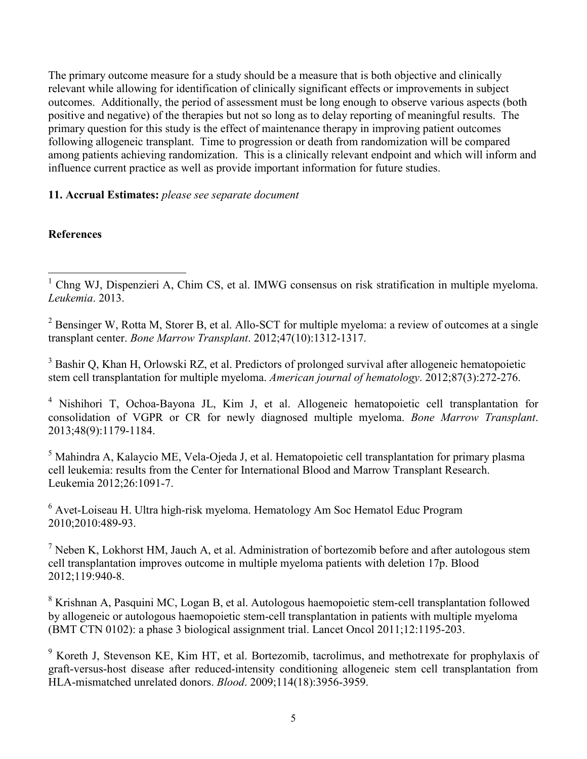The primary outcome measure for a study should be a measure that is both objective and clinically relevant while allowing for identification of clinically significant effects or improvements in subject outcomes. Additionally, the period of assessment must be long enough to observe various aspects (both positive and negative) of the therapies but not so long as to delay reporting of meaningful results. The primary question for this study is the effect of maintenance therapy in improving patient outcomes following allogeneic transplant. Time to progression or death from randomization will be compared among patients achieving randomization. This is a clinically relevant endpoint and which will inform and influence current practice as well as provide important information for future studies.

#### **11. Accrual Estimates:** *please see separate document*

#### **References**

 $2$  Bensinger W, Rotta M, Storer B, et al. Allo-SCT for multiple myeloma: a review of outcomes at a single transplant center. *Bone Marrow Transplant*. 2012;47(10):1312-1317.

<sup>3</sup> Bashir Q, Khan H, Orlowski RZ, et al. Predictors of prolonged survival after allogeneic hematopoietic stem cell transplantation for multiple myeloma. *American journal of hematology*. 2012;87(3):272-276.

<sup>4</sup> Nishihori T, Ochoa-Bayona JL, Kim J, et al. Allogeneic hematopoietic cell transplantation for consolidation of VGPR or CR for newly diagnosed multiple myeloma. *Bone Marrow Transplant*. 2013;48(9):1179-1184.

<sup>5</sup> Mahindra A, Kalaycio ME, Vela-Ojeda J, et al. Hematopoietic cell transplantation for primary plasma cell leukemia: results from the Center for International Blood and Marrow Transplant Research. Leukemia 2012;26:1091-7.

<sup>6</sup> Avet-Loiseau H. Ultra high-risk myeloma. Hematology Am Soc Hematol Educ Program 2010;2010:489-93.

 $<sup>7</sup>$  Neben K, Lokhorst HM, Jauch A, et al. Administration of bortezomib before and after autologous stem</sup> cell transplantation improves outcome in multiple myeloma patients with deletion 17p. Blood 2012;119:940-8.

<sup>8</sup> Krishnan A, Pasquini MC, Logan B, et al. Autologous haemopoietic stem-cell transplantation followed by allogeneic or autologous haemopoietic stem-cell transplantation in patients with multiple myeloma (BMT CTN 0102): a phase 3 biological assignment trial. Lancet Oncol 2011;12:1195-203.

<sup>9</sup> Koreth J, Stevenson KE, Kim HT, et al. Bortezomib, tacrolimus, and methotrexate for prophylaxis of graft-versus-host disease after reduced-intensity conditioning allogeneic stem cell transplantation from HLA-mismatched unrelated donors. *Blood*. 2009;114(18):3956-3959.

 <sup>1</sup> Chng WJ, Dispenzieri A, Chim CS, et al. IMWG consensus on risk stratification in multiple myeloma. *Leukemia*. 2013.